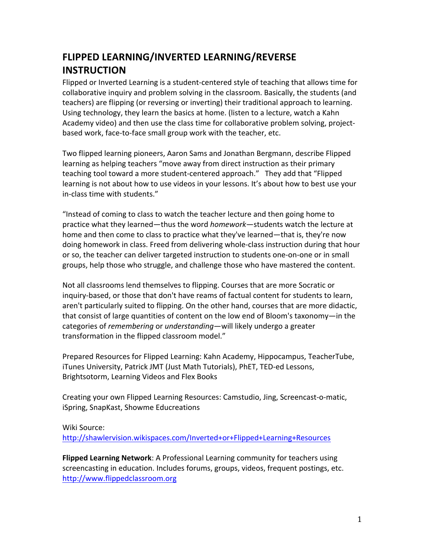## **FLIPPED'LEARNING/INVERTED'LEARNING/REVERSE' INSTRUCTION**

Flipped or Inverted Learning is a student-centered style of teaching that allows time for collaborative inquiry and problem solving in the classroom. Basically, the students (and teachers) are flipping (or reversing or inverting) their traditional approach to learning. Using technology, they learn the basics at home. (listen to a lecture, watch a Kahn Academy video) and then use the class time for collaborative problem solving, projectbased work, face-to-face small group work with the teacher, etc.

Two flipped learning pioneers, Aaron Sams and Jonathan Bergmann, describe Flipped learning as helping teachers "move away from direct instruction as their primary teaching tool toward a more student-centered approach." They add that "Flipped" learning is not about how to use videos in your lessons. It's about how to best use your in-class time with students."

"Instead of coming to class to watch the teacher lecture and then going home to practice what they learned—thus the word *homework*—students watch the lecture at home and then come to class to practice what they've learned—that is, they're now doing homework in class. Freed from delivering whole-class instruction during that hour or so, the teacher can deliver targeted instruction to students one-on-one or in small groups, help those who struggle, and challenge those who have mastered the content.

Not all classrooms lend themselves to flipping. Courses that are more Socratic or inquiry-based, or those that don't have reams of factual content for students to learn, aren't particularly suited to flipping. On the other hand, courses that are more didactic, that consist of large quantities of content on the low end of Bloom's taxonomy—in the categories of *remembering* or *understanding*—will likely undergo a greater transformation in the flipped classroom model."

Prepared Resources for Flipped Learning: Kahn Academy, Hippocampus, TeacherTube, iTunes University, Patrick JMT (Just Math Tutorials), PhET, TED-ed Lessons, Brightsotorm, Learning Videos and Flex Books

Creating your own Flipped Learning Resources: Camstudio, Jing, Screencast-o-matic, iSpring, SnapKast, Showme Educreations

## Wiki Source:

http://shawlervision.wikispaces.com/Inverted+or+Flipped+Learning+Resources

**Flipped Learning Network**: A Professional Learning community for teachers using screencasting in education. Includes forums, groups, videos, frequent postings, etc. http://www.flippedclassroom.org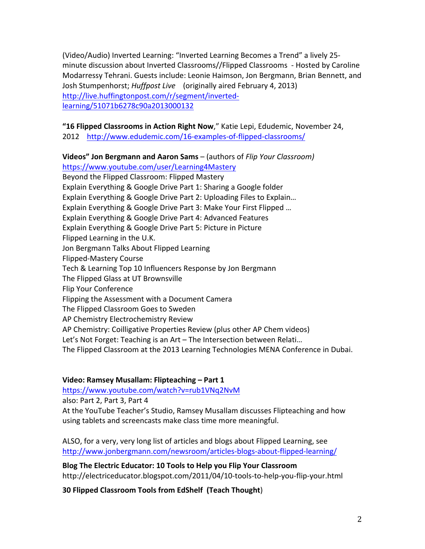(Video/Audio) Inverted Learning: "Inverted Learning Becomes a Trend" a lively 25minute discussion about Inverted Classrooms//Flipped Classrooms - Hosted by Caroline Modarressy Tehrani. Guests include: Leonie Haimson, Jon Bergmann, Brian Bennett, and Josh Stumpenhorst; *Huffpost Live* (originally aired February 4, 2013) http://live.huffingtonpost.com/r/segment/invertedlearning/51071b6278c90a2013000132

## "16 Flipped Classrooms in Action Right Now," Katie Lepi, Edudemic, November 24,

2012 http://www.edudemic.com/16-examples-of-flipped-classrooms/

**Videos" Jon Bergmann and Aaron Sams** – (authors of *Flip Your Classroom)* https://www.youtube.com/user/Learning4Mastery Beyond the Flipped Classroom: Flipped Mastery Explain Everything & Google Drive Part 1: Sharing a Google folder Explain Everything & Google Drive Part 2: Uploading Files to Explain... Explain Everything & Google Drive Part 3: Make Your First Flipped ... Explain Everything & Google Drive Part 4: Advanced Features Explain Everything & Google Drive Part 5: Picture in Picture Flipped Learning in the U.K. Jon Bergmann Talks About Flipped Learning Flipped-Mastery Course Tech & Learning Top 10 Influencers Response by Jon Bergmann The Flipped Glass at UT Brownsville Flip Your Conference Flipping the Assessment with a Document Camera The Flipped Classroom Goes to Sweden AP Chemistry Electrochemistry Review AP Chemistry: Coilligative Properties Review (plus other AP Chem videos) Let's Not Forget: Teaching is an Art-The Intersection between Relati... The Flipped Classroom at the 2013 Learning Technologies MENA Conference in Dubai.

## **Video: Ramsey Musallam: Flipteaching - Part 1**

https://www.youtube.com/watch?v=rub1VNq2NvM

also: Part 2, Part 3, Part 4

At the YouTube Teacher's Studio, Ramsey Musallam discusses Flipteaching and how using tablets and screencasts make class time more meaningful.

ALSO, for a very, very long list of articles and blogs about Flipped Learning, see http://www.jonbergmann.com/newsroom/articles-blogs-about-flipped-learning/

Blog The Electric Educator: 10 Tools to Help you Flip Your Classroom http://electriceducator.blogspot.com/2011/04/10-tools-to-help-you-flip-your.html

30 Flipped Classroom Tools from EdShelf (Teach Thought)